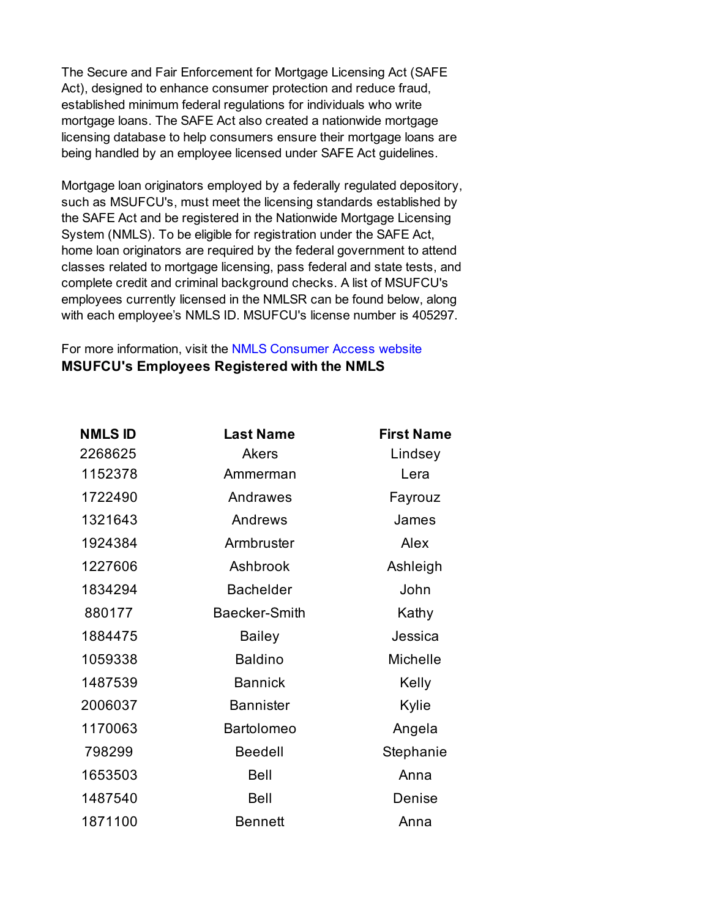The Secure and Fair Enforcement for Mortgage Licensing Act (SAFE Act), designed to enhance consumer protection and reduce fraud, established minimum federal regulations for individuals who write mortgage loans. The SAFE Act also created a nationwide mortgage licensing database to help consumers ensure their mortgage loans are being handled by an employee licensed under SAFE Act guidelines.

Mortgage loan originators employed by a federally regulated depository, such as MSUFCU's, must meet the licensing standards established by the SAFE Act and be registered in the Nationwide Mortgage Licensing System (NMLS). To be eligible for registration under the SAFE Act, home loan originators are required by the federal government to attend classes related to mortgage licensing, pass federal and state tests, and complete credit and criminal background checks. A list of MSUFCU's employees currently licensed in the NMLSR can be found below, along with each employee's NMLS ID. MSUFCU's license number is 405297.

## For more information, visit the NMLS Consumer Access website **MSUFCU's Employees Registered with the NMLS**

| <b>NMLS ID</b> | <b>Last Name</b>     | <b>First Name</b> |
|----------------|----------------------|-------------------|
| 2268625        | <b>Akers</b>         | Lindsey           |
| 1152378        | Ammerman             | Lera              |
| 1722490        | Andrawes             | Fayrouz           |
| 1321643        | Andrews              | James             |
| 1924384        | Armbruster           | Alex              |
| 1227606        | Ashbrook             | Ashleigh          |
| 1834294        | <b>Bachelder</b>     | John              |
| 880177         | <b>Baecker-Smith</b> | Kathy             |
| 1884475        | <b>Bailey</b>        | Jessica           |
| 1059338        | <b>Baldino</b>       | Michelle          |
| 1487539        | <b>Bannick</b>       | Kelly             |
| 2006037        | <b>Bannister</b>     | Kylie             |
| 1170063        | <b>Bartolomeo</b>    | Angela            |
| 798299         | <b>Beedell</b>       | Stephanie         |
| 1653503        | <b>Bell</b>          | Anna              |
| 1487540        | Bell                 | Denise            |
| 1871100        | <b>Bennett</b>       | Anna              |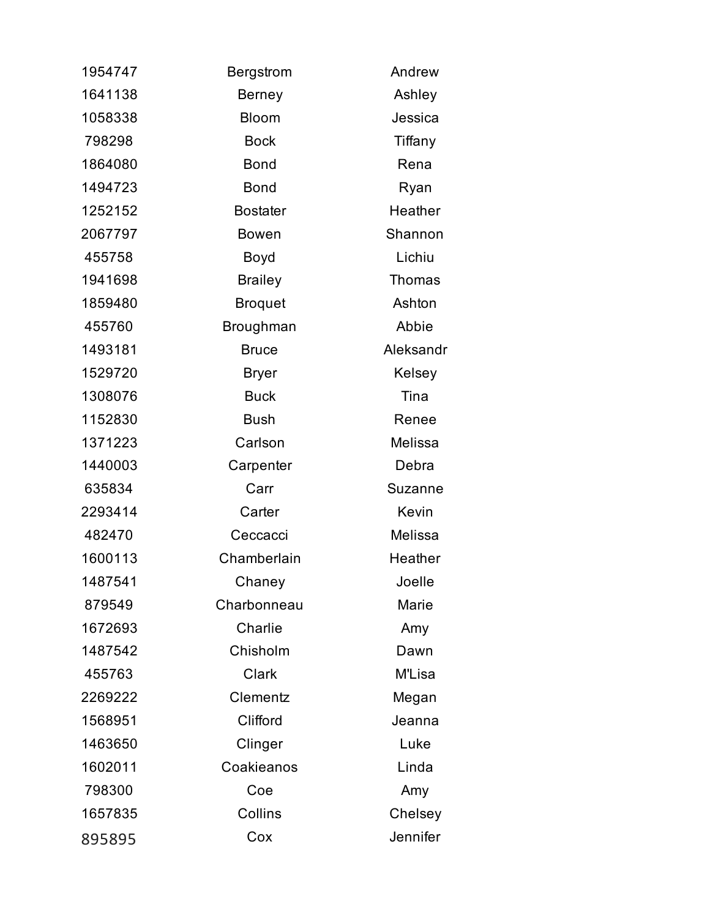| 1954747 | <b>Bergstrom</b> | Andrew         |
|---------|------------------|----------------|
| 1641138 | <b>Berney</b>    | Ashley         |
| 1058338 | <b>Bloom</b>     | Jessica        |
| 798298  | <b>Bock</b>      | Tiffany        |
| 1864080 | <b>Bond</b>      | Rena           |
| 1494723 | <b>Bond</b>      | Ryan           |
| 1252152 | <b>Bostater</b>  | Heather        |
| 2067797 | <b>Bowen</b>     | Shannon        |
| 455758  | Boyd             | Lichiu         |
| 1941698 | <b>Brailey</b>   | Thomas         |
| 1859480 | <b>Broquet</b>   | Ashton         |
| 455760  | Broughman        | Abbie          |
| 1493181 | <b>Bruce</b>     | Aleksandr      |
| 1529720 | <b>Bryer</b>     | Kelsey         |
| 1308076 | <b>Buck</b>      | Tina           |
| 1152830 | <b>Bush</b>      | Renee          |
| 1371223 | Carlson          | Melissa        |
| 1440003 | Carpenter        | Debra          |
| 635834  | Carr             | <b>Suzanne</b> |
| 2293414 | Carter           | Kevin          |
| 482470  | Ceccacci         | Melissa        |
| 1600113 | Chamberlain      | Heather        |
| 1487541 | Chaney           | Joelle         |
| 879549  | Charbonneau      | Marie          |
| 1672693 | Charlie          | Amy            |
| 1487542 | Chisholm         | Dawn           |
| 455763  | <b>Clark</b>     | M'Lisa         |
| 2269222 | Clementz         | Megan          |
| 1568951 | Clifford         | Jeanna         |
| 1463650 | Clinger          | Luke           |
| 1602011 | Coakieanos       | Linda          |
| 798300  | Coe              | Amy            |
| 1657835 | Collins          | Chelsey        |
| 895895  | Cox              | Jennifer       |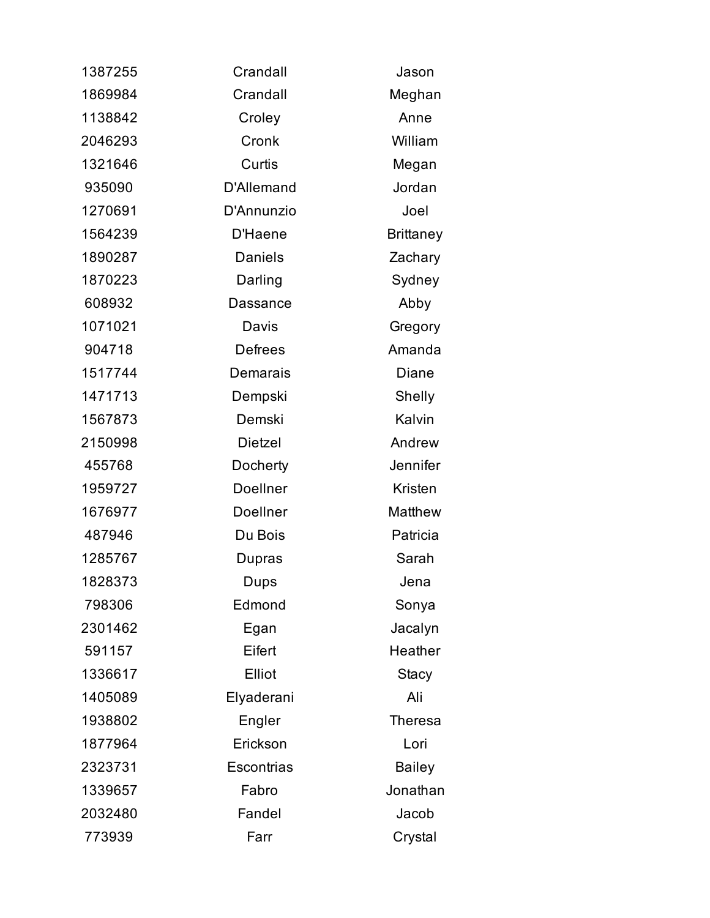| 1387255 | Crandall          | Jason            |
|---------|-------------------|------------------|
| 1869984 | Crandall          | Meghan           |
| 1138842 | Croley            | Anne             |
| 2046293 | Cronk             | William          |
| 1321646 | Curtis            | Megan            |
| 935090  | <b>D'Allemand</b> | Jordan           |
| 1270691 | D'Annunzio        | Joel             |
| 1564239 | D'Haene           | <b>Brittaney</b> |
| 1890287 | <b>Daniels</b>    | Zachary          |
| 1870223 | Darling           | Sydney           |
| 608932  | <b>Dassance</b>   | Abby             |
| 1071021 | Davis             | Gregory          |
| 904718  | <b>Defrees</b>    | Amanda           |
| 1517744 | Demarais          | Diane            |
| 1471713 | Dempski           | Shelly           |
| 1567873 | Demski            | Kalvin           |
| 2150998 | Dietzel           | Andrew           |
| 455768  | Docherty          | Jennifer         |
| 1959727 | <b>Doellner</b>   | Kristen          |
| 1676977 | Doellner          | Matthew          |
| 487946  | Du Bois           | Patricia         |
| 1285767 | Dupras            | Sarah            |
| 1828373 | Dups              | Jena             |
| 798306  | Edmond            | Sonya            |
| 2301462 | Egan              | Jacalyn          |
| 591157  | Eifert            | Heather          |
| 1336617 | Elliot            | <b>Stacy</b>     |
| 1405089 | Elyaderani        | Ali              |
| 1938802 | Engler            | <b>Theresa</b>   |
| 1877964 | Erickson          | Lori             |
| 2323731 | Escontrias        | <b>Bailey</b>    |
| 1339657 | Fabro             | Jonathan         |
| 2032480 | Fandel            | Jacob            |
| 773939  | Farr              | Crystal          |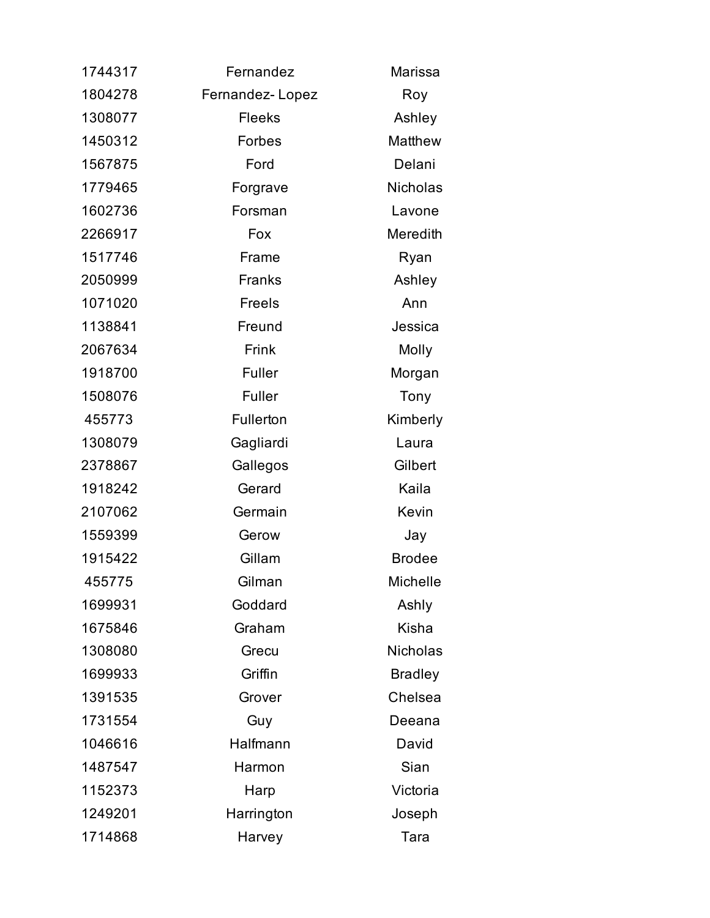| 1744317 | Fernandez       | Marissa         |
|---------|-----------------|-----------------|
| 1804278 | Fernandez-Lopez | Roy             |
| 1308077 | <b>Fleeks</b>   | Ashley          |
| 1450312 | Forbes          | Matthew         |
| 1567875 | Ford            | Delani          |
| 1779465 | Forgrave        | <b>Nicholas</b> |
| 1602736 | Forsman         | Lavone          |
| 2266917 | Fox             | Meredith        |
| 1517746 | Frame           | Ryan            |
| 2050999 | Franks          | Ashley          |
| 1071020 | Freels          | Ann             |
| 1138841 | Freund          | Jessica         |
| 2067634 | Frink           | Molly           |
| 1918700 | Fuller          | Morgan          |
| 1508076 | Fuller          | Tony            |
| 455773  | Fullerton       | Kimberly        |
| 1308079 | Gagliardi       | Laura           |
| 2378867 | Gallegos        | Gilbert         |
| 1918242 | Gerard          | Kaila           |
| 2107062 | Germain         | Kevin           |
| 1559399 | Gerow           | Jay             |
| 1915422 | Gillam          | <b>Brodee</b>   |
| 455775  | Gilman          | Michelle        |
| 1699931 | Goddard         | Ashly           |
| 1675846 | Graham          | Kisha           |
| 1308080 | Grecu           | <b>Nicholas</b> |
| 1699933 | Griffin         | <b>Bradley</b>  |
| 1391535 | Grover          | Chelsea         |
| 1731554 | Guy             | Deeana          |
| 1046616 | Halfmann        | David           |
| 1487547 | Harmon          | Sian            |
| 1152373 | Harp            | Victoria        |
| 1249201 | Harrington      | Joseph          |
| 1714868 | Harvey          | Tara            |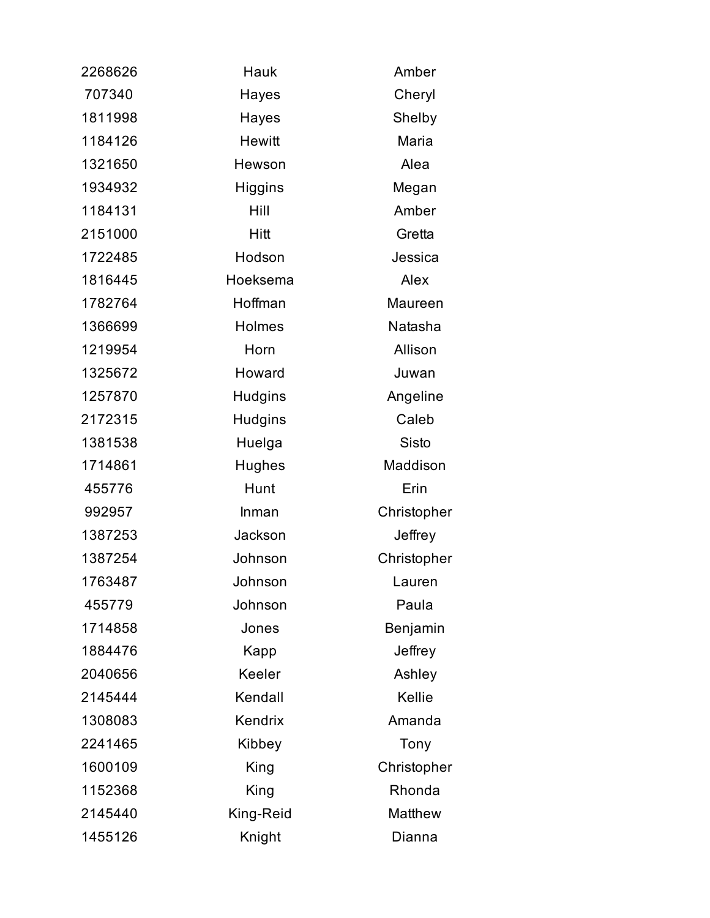| 2268626 | Hauk           | Amber       |
|---------|----------------|-------------|
| 707340  | Hayes          | Cheryl      |
| 1811998 | Hayes          | Shelby      |
| 1184126 | <b>Hewitt</b>  | Maria       |
| 1321650 | Hewson         | Alea        |
| 1934932 | Higgins        | Megan       |
| 1184131 | Hill           | Amber       |
| 2151000 | Hitt           | Gretta      |
| 1722485 | Hodson         | Jessica     |
| 1816445 | Hoeksema       | Alex        |
| 1782764 | Hoffman        | Maureen     |
| 1366699 | Holmes         | Natasha     |
| 1219954 | Horn           | Allison     |
| 1325672 | Howard         | Juwan       |
| 1257870 | <b>Hudgins</b> | Angeline    |
| 2172315 | <b>Hudgins</b> | Caleb       |
| 1381538 | Huelga         | Sisto       |
| 1714861 | <b>Hughes</b>  | Maddison    |
| 455776  | Hunt           | Erin        |
| 992957  | Inman          | Christopher |
| 1387253 | Jackson        | Jeffrey     |
| 1387254 | Johnson        | Christopher |
| 1763487 | Johnson        | Lauren      |
| 455779  | Johnson        | Paula       |
| 1714858 | Jones          | Benjamin    |
| 1884476 | Kapp           | Jeffrey     |
| 2040656 | Keeler         | Ashley      |
| 2145444 | Kendall        | Kellie      |
| 1308083 | Kendrix        | Amanda      |
| 2241465 | Kibbey         | Tony        |
| 1600109 | King           | Christopher |
| 1152368 | King           | Rhonda      |
| 2145440 | King-Reid      | Matthew     |
| 1455126 | Knight         | Dianna      |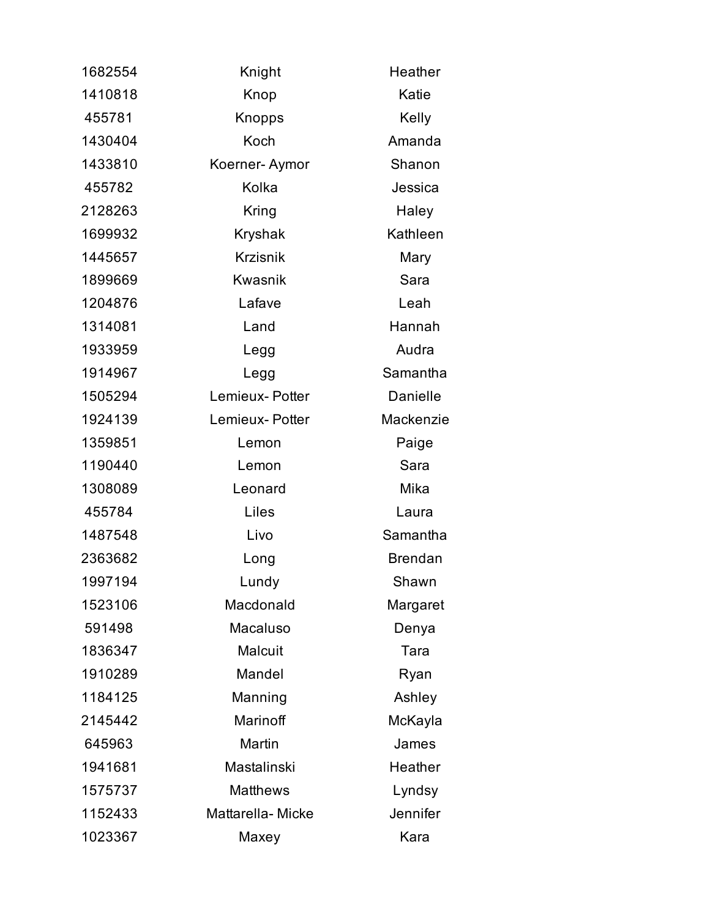| 1682554 | Knight           | Heather        |
|---------|------------------|----------------|
| 1410818 | Knop             | Katie          |
| 455781  | Knopps           | Kelly          |
| 1430404 | Koch             | Amanda         |
| 1433810 | Koerner-Aymor    | Shanon         |
| 455782  | Kolka            | Jessica        |
| 2128263 | Kring            | Haley          |
| 1699932 | Kryshak          | Kathleen       |
| 1445657 | <b>Krzisnik</b>  | Mary           |
| 1899669 | <b>Kwasnik</b>   | Sara           |
| 1204876 | Lafave           | Leah           |
| 1314081 | Land             | Hannah         |
| 1933959 | Legg             | Audra          |
| 1914967 | Legg             | Samantha       |
| 1505294 | Lemieux-Potter   | Danielle       |
| 1924139 | Lemieux- Potter  | Mackenzie      |
| 1359851 | Lemon            | Paige          |
| 1190440 | Lemon            | Sara           |
| 1308089 | Leonard          | Mika           |
| 455784  | Liles            | Laura          |
| 1487548 | Livo             | Samantha       |
| 2363682 | Long             | <b>Brendan</b> |
| 1997194 | Lundy            | Shawn          |
| 1523106 | Macdonald        | Margaret       |
| 591498  | Macaluso         | Denya          |
| 1836347 | Malcuit          | Tara           |
| 1910289 | Mandel           | Ryan           |
| 1184125 | Manning          | Ashley         |
| 2145442 | Marinoff         | McKayla        |
| 645963  | Martin           | James          |
| 1941681 | Mastalinski      | Heather        |
| 1575737 | <b>Matthews</b>  | Lyndsy         |
| 1152433 | Mattarella-Micke | Jennifer       |
| 1023367 | Maxey            | Kara           |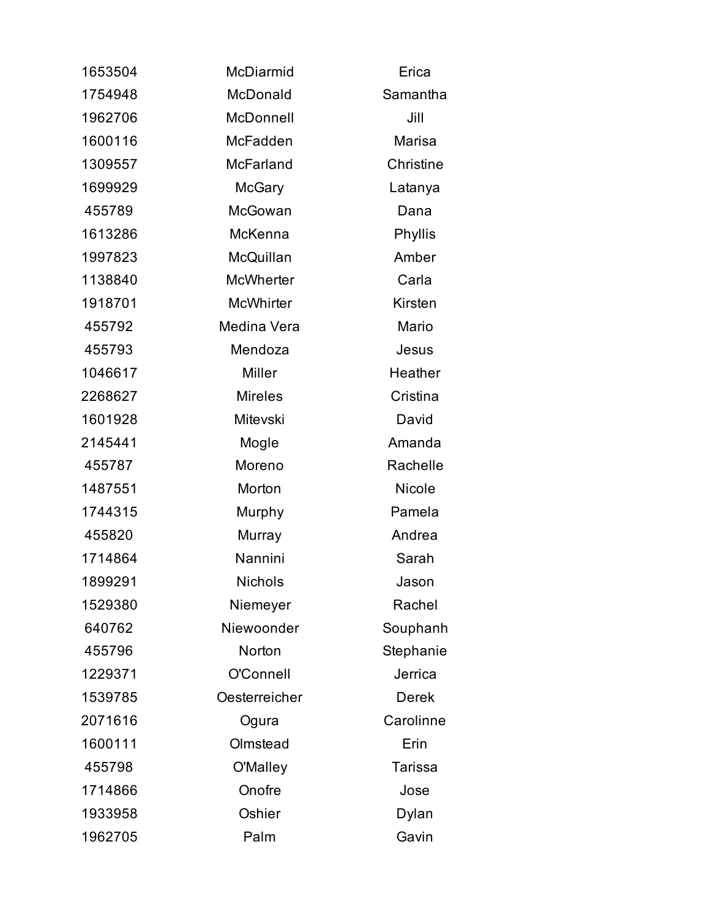| 1653504 | McDiarmid        | Erica          |
|---------|------------------|----------------|
| 1754948 | McDonald         | Samantha       |
| 1962706 | McDonnell        | Jill           |
| 1600116 | McFadden         | Marisa         |
| 1309557 | McFarland        | Christine      |
| 1699929 | <b>McGary</b>    | Latanya        |
| 455789  | McGowan          | Dana           |
| 1613286 | McKenna          | Phyllis        |
| 1997823 | McQuillan        | Amber          |
| 1138840 | <b>McWherter</b> | Carla          |
| 1918701 | <b>McWhirter</b> | Kirsten        |
| 455792  | Medina Vera      | Mario          |
| 455793  | Mendoza          | Jesus          |
| 1046617 | <b>Miller</b>    | Heather        |
| 2268627 | <b>Mireles</b>   | Cristina       |
| 1601928 | Mitevski         | David          |
| 2145441 | Mogle            | Amanda         |
| 455787  | Moreno           | Rachelle       |
| 1487551 | Morton           | <b>Nicole</b>  |
| 1744315 | Murphy           | Pamela         |
| 455820  | Murray           | Andrea         |
| 1714864 | Nannini          | Sarah          |
| 1899291 | <b>Nichols</b>   | Jason          |
| 1529380 | Niemeyer         | Rachel         |
| 640762  | Niewoonder       | Souphanh       |
| 455796  | Norton           | Stephanie      |
| 1229371 | O'Connell        | Jerrica        |
| 1539785 | Oesterreicher    | <b>Derek</b>   |
| 2071616 | Ogura            | Carolinne      |
| 1600111 | Olmstead         | Erin           |
| 455798  | O'Malley         | <b>Tarissa</b> |
| 1714866 | Onofre           | Jose           |
| 1933958 | Oshier           | Dylan          |
| 1962705 | Palm             | Gavin          |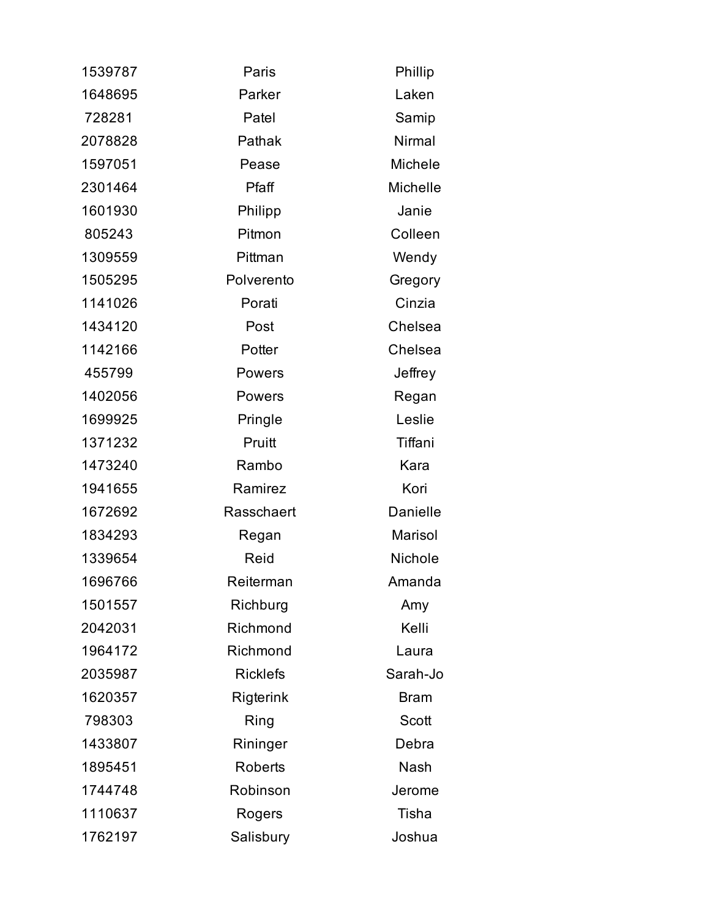| 1539787 | Paris           | Phillip     |
|---------|-----------------|-------------|
| 1648695 | Parker          | Laken       |
| 728281  | Patel           | Samip       |
| 2078828 | Pathak          | Nirmal      |
| 1597051 | Pease           | Michele     |
| 2301464 | Pfaff           | Michelle    |
| 1601930 | Philipp         | Janie       |
| 805243  | Pitmon          | Colleen     |
| 1309559 | Pittman         | Wendy       |
| 1505295 | Polverento      | Gregory     |
| 1141026 | Porati          | Cinzia      |
| 1434120 | Post            | Chelsea     |
| 1142166 | Potter          | Chelsea     |
| 455799  | Powers          | Jeffrey     |
| 1402056 | <b>Powers</b>   | Regan       |
| 1699925 | Pringle         | Leslie      |
| 1371232 | Pruitt          | Tiffani     |
| 1473240 | Rambo           | Kara        |
| 1941655 | Ramirez         | Kori        |
| 1672692 | Rasschaert      | Danielle    |
| 1834293 | Regan           | Marisol     |
| 1339654 | Reid            | Nichole     |
| 1696766 | Reiterman       | Amanda      |
| 1501557 | Richburg        | Amy         |
| 2042031 | Richmond        | Kelli       |
| 1964172 | Richmond        | Laura       |
| 2035987 | <b>Ricklefs</b> | Sarah-Jo    |
| 1620357 | Rigterink       | <b>Bram</b> |
| 798303  | Ring            | Scott       |
| 1433807 | Rininger        | Debra       |
| 1895451 | <b>Roberts</b>  | <b>Nash</b> |
| 1744748 | Robinson        | Jerome      |
| 1110637 | Rogers          | Tisha       |
| 1762197 | Salisbury       | Joshua      |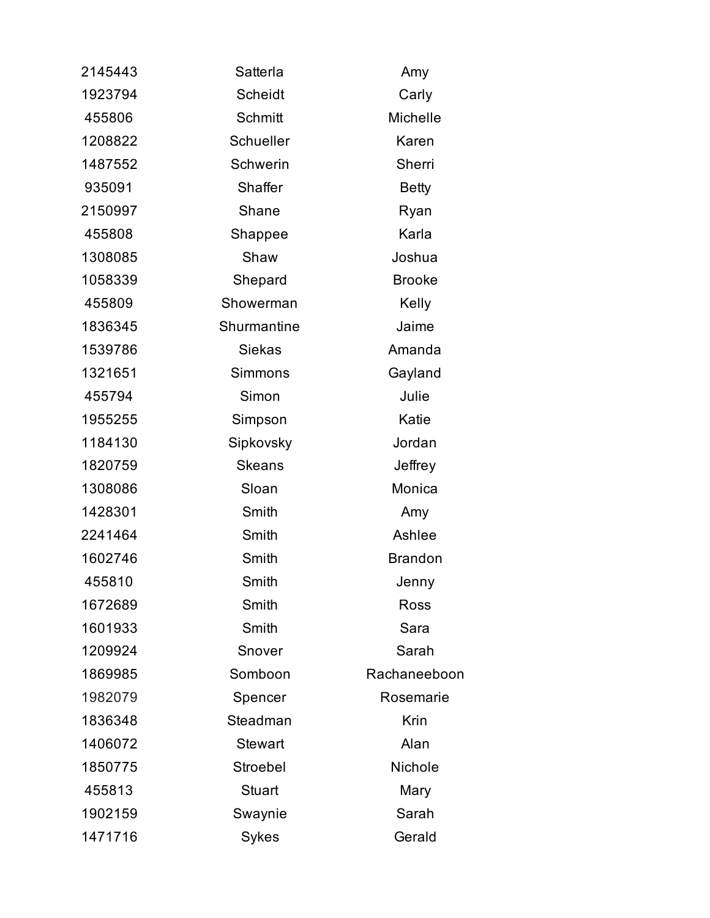| 2145443 | Satterla       | Amy            |
|---------|----------------|----------------|
| 1923794 | <b>Scheidt</b> | Carly          |
| 455806  | Schmitt        | Michelle       |
| 1208822 | Schueller      | Karen          |
| 1487552 | Schwerin       | Sherri         |
| 935091  | Shaffer        | <b>Betty</b>   |
| 2150997 | Shane          | Ryan           |
| 455808  | Shappee        | Karla          |
| 1308085 | Shaw           | Joshua         |
| 1058339 | Shepard        | <b>Brooke</b>  |
| 455809  | Showerman      | Kelly          |
| 1836345 | Shurmantine    | Jaime          |
| 1539786 | <b>Siekas</b>  | Amanda         |
| 1321651 | <b>Simmons</b> | Gayland        |
| 455794  | Simon          | Julie          |
| 1955255 | Simpson        | Katie          |
| 1184130 | Sipkovsky      | Jordan         |
| 1820759 | <b>Skeans</b>  | Jeffrey        |
| 1308086 | Sloan          | Monica         |
| 1428301 | Smith          | Amy            |
| 2241464 | Smith          | Ashlee         |
| 1602746 | Smith          | <b>Brandon</b> |
| 455810  | Smith          | Jenny          |
| 1672689 | Smith          | Ross           |
| 1601933 | Smith          | Sara           |
| 1209924 | Snover         | Sarah          |
| 1869985 | Somboon        | Rachaneeboon   |
| 1982079 | Spencer        | Rosemarie      |
| 1836348 | Steadman       | Krin           |
| 1406072 | <b>Stewart</b> | Alan           |
| 1850775 | Stroebel       | Nichole        |
| 455813  | <b>Stuart</b>  | Mary           |
| 1902159 | Swaynie        | Sarah          |
| 1471716 | Sykes          | Gerald         |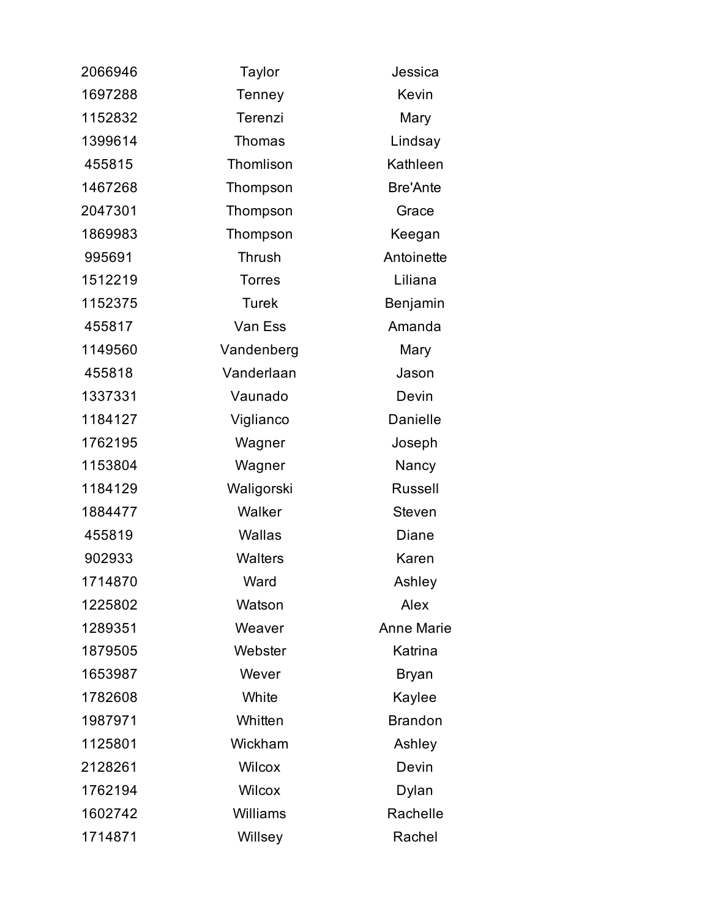| 2066946 | Taylor         | Jessica           |
|---------|----------------|-------------------|
| 1697288 | Tenney         | Kevin             |
| 1152832 | Terenzi        | Mary              |
| 1399614 | <b>Thomas</b>  | Lindsay           |
| 455815  | Thomlison      | Kathleen          |
| 1467268 | Thompson       | <b>Bre'Ante</b>   |
| 2047301 | Thompson       | Grace             |
| 1869983 | Thompson       | Keegan            |
| 995691  | Thrush         | Antoinette        |
| 1512219 | <b>Torres</b>  | Liliana           |
| 1152375 | <b>Turek</b>   | Benjamin          |
| 455817  | Van Ess        | Amanda            |
| 1149560 | Vandenberg     | Mary              |
| 455818  | Vanderlaan     | Jason             |
| 1337331 | Vaunado        | Devin             |
| 1184127 | Viglianco      | Danielle          |
| 1762195 | Wagner         | Joseph            |
| 1153804 | Wagner         | Nancy             |
| 1184129 | Waligorski     | <b>Russell</b>    |
| 1884477 | Walker         | <b>Steven</b>     |
| 455819  | Wallas         | Diane             |
| 902933  | <b>Walters</b> | Karen             |
| 1714870 | Ward           | Ashley            |
| 1225802 | Watson         | Alex              |
| 1289351 | Weaver         | <b>Anne Marie</b> |
| 1879505 | Webster        | Katrina           |
| 1653987 | Wever          | <b>Bryan</b>      |
| 1782608 | White          | Kaylee            |
| 1987971 | Whitten        | <b>Brandon</b>    |
| 1125801 | Wickham        | Ashley            |
| 2128261 | Wilcox         | Devin             |
| 1762194 | <b>Wilcox</b>  | Dylan             |
| 1602742 | Williams       | Rachelle          |
| 1714871 | Willsey        | Rachel            |